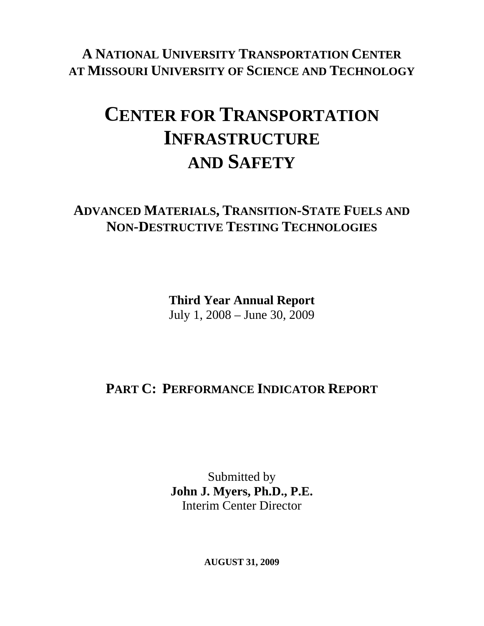**A NATIONAL UNIVERSITY TRANSPORTATION CENTER AT MISSOURI UNIVERSITY OF SCIENCE AND TECHNOLOGY**

# **CENTER FOR TRANSPORTATION INFRASTRUCTURE AND SAFETY**

### **ADVANCED MATERIALS, TRANSITION-STATE FUELS AND NON-DESTRUCTIVE TESTING TECHNOLOGIES**

**Third Year Annual Report**  July 1, 2008 – June 30, 2009

# **PART C: PERFORMANCE INDICATOR REPORT**

Submitted by **John J. Myers, Ph.D., P.E.**  Interim Center Director

**AUGUST 31, 2009**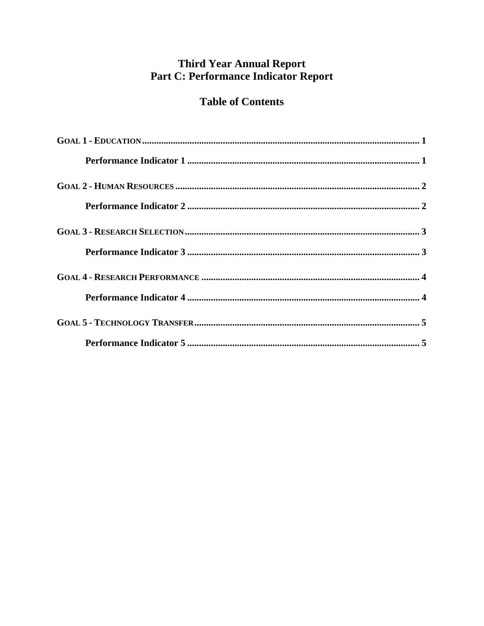### **Third Year Annual Report** Part C: Performance Indicator Report

### **Table of Contents**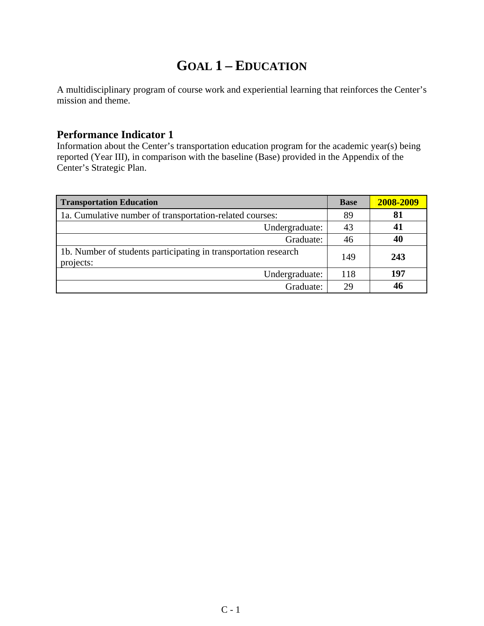# **GOAL 1 – EDUCATION**

A multidisciplinary program of course work and experiential learning that reinforces the Center's mission and theme.

#### **Performance Indicator 1**

Information about the Center's transportation education program for the academic year(s) being reported (Year III), in comparison with the baseline (Base) provided in the Appendix of the Center's Strategic Plan.

| <b>Transportation Education</b>                                              | <b>Base</b> | 2008-2009 |
|------------------------------------------------------------------------------|-------------|-----------|
| 1a. Cumulative number of transportation-related courses:                     | 89          | 81        |
| Undergraduate:                                                               | 43          |           |
| Graduate:                                                                    | 46          | 40        |
| 1b. Number of students participating in transportation research<br>projects: | 149         | 243       |
| Undergraduate:                                                               | 118         | 197       |
| Graduate:                                                                    | 29          | 46        |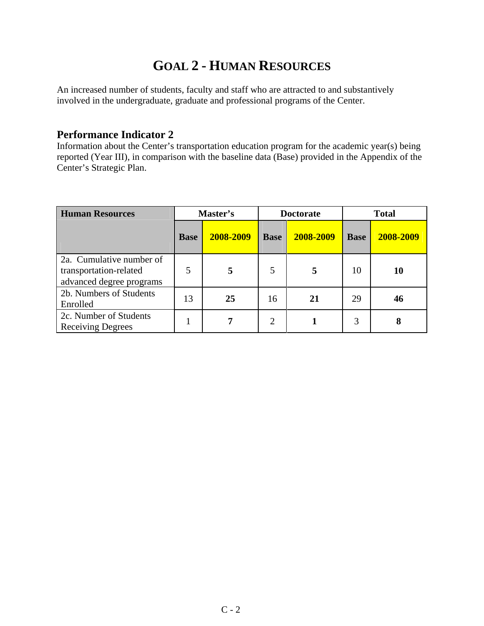# **GOAL 2 - HUMAN RESOURCES**

An increased number of students, faculty and staff who are attracted to and substantively involved in the undergraduate, graduate and professional programs of the Center.

#### **Performance Indicator 2**

Information about the Center's transportation education program for the academic year(s) being reported (Year III), in comparison with the baseline data (Base) provided in the Appendix of the Center's Strategic Plan.

| <b>Human Resources</b>                                                         | Master's    |           | <b>Doctorate</b> |           | <b>Total</b> |           |
|--------------------------------------------------------------------------------|-------------|-----------|------------------|-----------|--------------|-----------|
|                                                                                | <b>Base</b> | 2008-2009 | <b>Base</b>      | 2008-2009 | <b>Base</b>  | 2008-2009 |
| 2a. Cumulative number of<br>transportation-related<br>advanced degree programs | 5           | 5         | 5                | 5         | 10           | 10        |
| 2b. Numbers of Students<br>Enrolled                                            | 13          | 25        | 16               | 21        | 29           | 46        |
| 2c. Number of Students<br><b>Receiving Degrees</b>                             |             |           | 2                |           | 3            |           |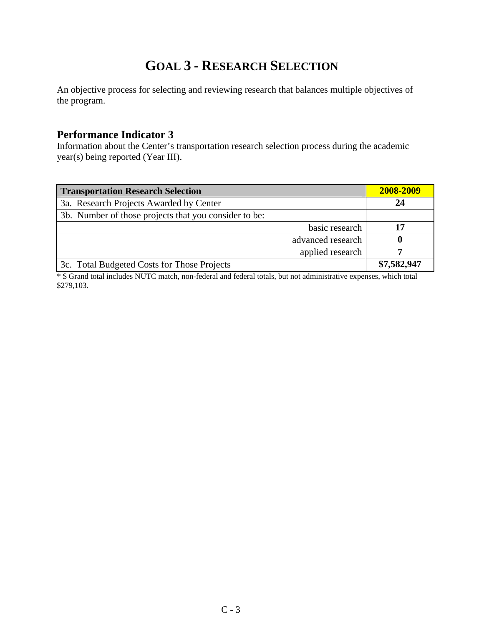# **GOAL 3 - RESEARCH SELECTION**

An objective process for selecting and reviewing research that balances multiple objectives of the program.

#### **Performance Indicator 3**

Information about the Center's transportation research selection process during the academic year(s) being reported (Year III).

| <b>Transportation Research Selection</b>              | 2008-2009   |
|-------------------------------------------------------|-------------|
| 3a. Research Projects Awarded by Center               | 24          |
| 3b. Number of those projects that you consider to be: |             |
| basic research                                        |             |
| advanced research                                     |             |
| applied research                                      |             |
| 3c. Total Budgeted Costs for Those Projects           | \$7,582,947 |

\* \$ Grand total includes NUTC match, non-federal and federal totals, but not administrative expenses, which total \$279,103.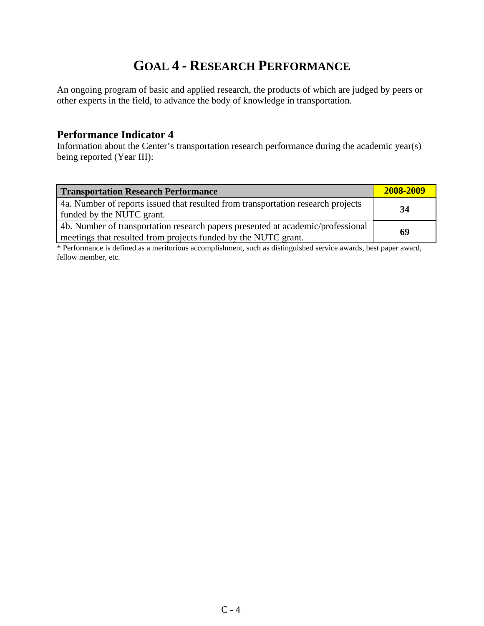# **GOAL 4 - RESEARCH PERFORMANCE**

An ongoing program of basic and applied research, the products of which are judged by peers or other experts in the field, to advance the body of knowledge in transportation.

#### **Performance Indicator 4**

Information about the Center's transportation research performance during the academic year(s) being reported (Year III):

| <b>Transportation Research Performance</b>                                                                                                        | 2008-2009 |
|---------------------------------------------------------------------------------------------------------------------------------------------------|-----------|
| 4a. Number of reports issued that resulted from transportation research projects<br>funded by the NUTC grant.                                     | 34        |
| 4b. Number of transportation research papers presented at academic/professional<br>meetings that resulted from projects funded by the NUTC grant. | 69        |

\* Performance is defined as a meritorious accomplishment, such as distinguished service awards, best paper award, fellow member, etc.